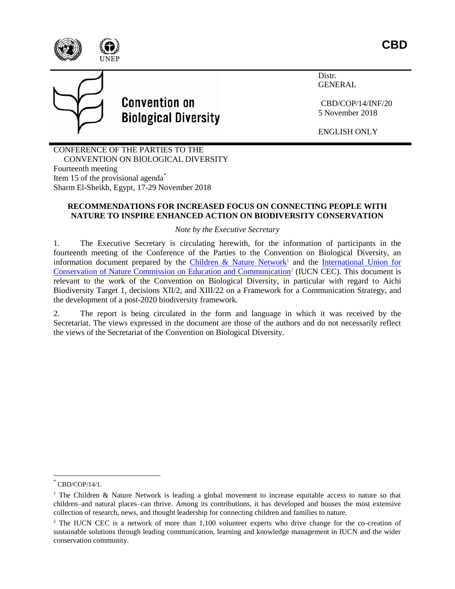



# **Convention on Biological Diversity**

Distr. GENERAL

CBD/COP/14/INF/20 5 November 2018

ENGLISH ONLY

CONFERENCE OF THE PARTIES TO THE CONVENTION ON BIOLOGICAL DIVERSITY Fourteenth meeting Item 15 of the provisional agenda<sup>\*</sup> Sharm El-Sheikh, Egypt, 17-29 November 2018

### **RECOMMENDATIONS FOR INCREASED FOCUS ON CONNECTING PEOPLE WITH NATURE TO INSPIRE ENHANCED ACTION ON BIODIVERSITY CONSERVATION**

*Note by the Executive Secretary*

1. The Executive Secretary is circulating herewith, for the information of participants in the fourteenth meeting of the Conference of the Parties to the Convention on Biological Diversity, an information document prepared by the [Children & Nature Network](https://www.childrenandnature.org/)<sup>1</sup> and the International Union for [Conservation of Nature Commission on Education and Communication](https://www.iucn.org/commissions/commission-education-and-communication)<sup>2</sup> (IUCN CEC). This document is relevant to the work of the Convention on Biological Diversity, in particular with regard to Aichi Biodiversity Target 1, decisions XII/2, and XIII/22 on a Framework for a Communication Strategy, and the development of a post-2020 biodiversity framework.

2. The report is being circulated in the form and language in which it was received by the Secretariat. The views expressed in the document are those of the authors and do not necessarily reflect the views of the Secretariat of the Convention on Biological Diversity.

 $\overline{a}$ 

<sup>\*</sup> CBD/COP/14/1.

<sup>&</sup>lt;sup>1</sup> The Children & Nature Network is leading a global movement to increase equitable access to nature so that children–and natural places–can thrive. Among its contributions, it has developed and houses the most extensive collection of research, news, and thought leadership for connecting children and families to nature.

<sup>&</sup>lt;sup>2</sup> The IUCN CEC is a network of more than 1,100 volunteer experts who drive change for the co-creation of sustainable solutions through leading communication, learning and knowledge management in IUCN and the wider conservation community.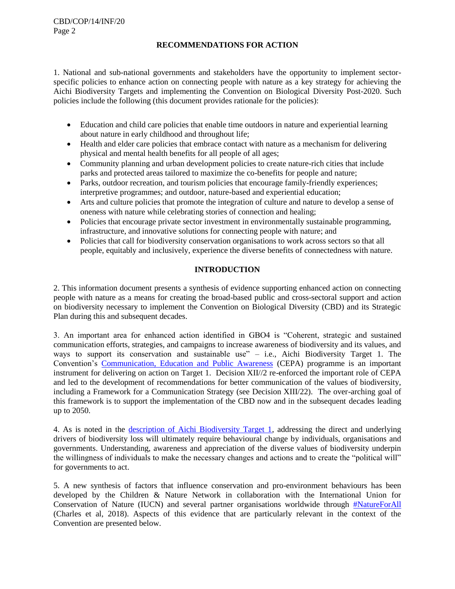#### **RECOMMENDATIONS FOR ACTION**

1. National and sub-national governments and stakeholders have the opportunity to implement sectorspecific policies to enhance action on connecting people with nature as a key strategy for achieving the Aichi Biodiversity Targets and implementing the Convention on Biological Diversity Post-2020. Such policies include the following (this document provides rationale for the policies):

- Education and child care policies that enable time outdoors in nature and experiential learning about nature in early childhood and throughout life;
- Health and elder care policies that embrace contact with nature as a mechanism for delivering physical and mental health benefits for all people of all ages;
- Community planning and urban development policies to create nature-rich cities that include parks and protected areas tailored to maximize the co-benefits for people and nature;
- Parks, outdoor recreation, and tourism policies that encourage family-friendly experiences; interpretive programmes; and outdoor, nature-based and experiential education;
- Arts and culture policies that promote the integration of culture and nature to develop a sense of oneness with nature while celebrating stories of connection and healing;
- Policies that encourage private sector investment in environmentally sustainable programming, infrastructure, and innovative solutions for connecting people with nature; and
- Policies that call for biodiversity conservation organisations to work across sectors so that all people, equitably and inclusively, experience the diverse benefits of connectedness with nature.

## **INTRODUCTION**

2. This information document presents a synthesis of evidence supporting enhanced action on connecting people with nature as a means for creating the broad-based public and cross-sectoral support and action on biodiversity necessary to implement the Convention on Biological Diversity (CBD) and its Strategic Plan during this and subsequent decades.

3. An important area for enhanced action identified in GBO4 is "Coherent, strategic and sustained communication efforts, strategies, and campaigns to increase awareness of biodiversity and its values, and ways to support its conservation and sustainable use" – i.e., Aichi Biodiversity Target 1. The Convention's [Communication, Education and Public Awareness](https://www.cbd.int/cepa/) (CEPA) programme is an important instrument for delivering on action on Target 1. Decision XII//2 re-enforced the important role of CEPA and led to the development of recommendations for better communication of the values of biodiversity, including a Framework for a Communication Strategy (see Decision XIII/22). The over-arching goal of this framework is to support the implementation of the CBD now and in the subsequent decades leading up to 2050.

4. As is noted in the [description of Aichi Biodiversity Target 1,](https://www.cbd.int/cepa/target1/) addressing the direct and underlying drivers of biodiversity loss will ultimately require behavioural change by individuals, organisations and governments. Understanding, awareness and appreciation of the diverse values of biodiversity underpin the willingness of individuals to make the necessary changes and actions and to create the "political will" for governments to act.

5. A new synthesis of factors that influence conservation and pro-environment behaviours has been developed by the Children & Nature Network in collaboration with the International Union for Conservation of Nature (IUCN) and several partner organisations worldwide through  $\frac{\text{#NatureForAll}}{\text{#NatureForAll}}$  $\frac{\text{#NatureForAll}}{\text{#NatureForAll}}$  $\frac{\text{#NatureForAll}}{\text{#NatureForAll}}$ (Charles et al, 2018). Aspects of this evidence that are particularly relevant in the context of the Convention are presented below.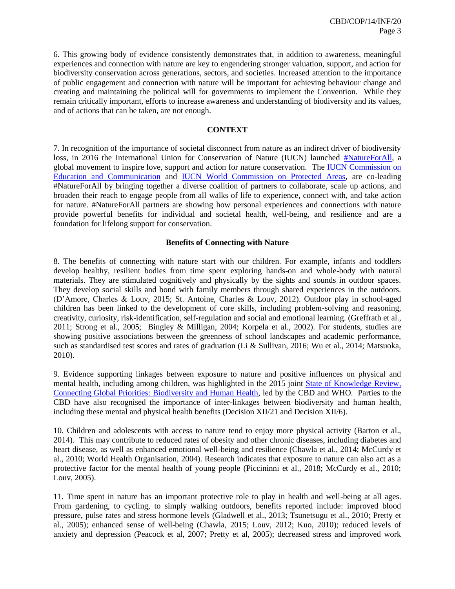6. This growing body of evidence consistently demonstrates that, in addition to awareness, meaningful experiences and connection with nature are key to engendering stronger valuation, support, and action for biodiversity conservation across generations, sectors, and societies. Increased attention to the importance of public engagement and connection with nature will be important for achieving behaviour change and creating and maintaining the political will for governments to implement the Convention. While they remain critically important, efforts to increase awareness and understanding of biodiversity and its values, and of actions that can be taken, are not enough.

#### **CONTEXT**

7. In recognition of the importance of societal disconnect from nature as an indirect driver of biodiversity loss, in 2016 the International Union for Conservation of Nature (IUCN) launched [#NatureForAll,](http://natureforall.global/) a global movement to inspire love, support and action for nature conservation. The [IUCN Commission on](https://www.iucn.org/commissions/commission-education-and-communication)  [Education and Communication](https://www.iucn.org/commissions/commission-education-and-communication) and [IUCN World Commission on Protected Areas,](https://www.iucn.org/theme/protected-areas/wcpa/what-we-do/natureforall) are co-leading #NatureForAll by bringing together a diverse coalition of partners to collaborate, scale up actions, and broaden their reach to engage people from all walks of life to experience, connect with, and take action for nature. #NatureForAll partners are showing how personal experiences and connections with nature provide powerful benefits for individual and societal health, well-being, and resilience and are a foundation for lifelong support for conservation.

#### **Benefits of Connecting with Nature**

8. The benefits of connecting with nature start with our children. For example, infants and toddlers develop healthy, resilient bodies from time spent exploring hands-on and whole-body with natural materials. They are stimulated cognitively and physically by the sights and sounds in outdoor spaces. They develop social skills and bond with family members through shared experiences in the outdoors. (D'Amore, Charles & Louv, 2015; St. Antoine, Charles & Louv, 2012). Outdoor play in school-aged children has been linked to the development of core skills, including problem-solving and reasoning, creativity, curiosity, risk-identification, self-regulation and social and emotional learning. (Greffrath et al., 2011; Strong et al., 2005; Bingley & Milligan, 2004; Korpela et al., 2002). For students, studies are showing positive associations between the greenness of school landscapes and academic performance, such as standardised test scores and rates of graduation (Li & Sullivan, 2016; Wu et al., 2014; Matsuoka, 2010).

9. Evidence supporting linkages between exposure to nature and positive influences on physical and mental health, including among children, was highlighted in the 2015 joint [State of Knowledge Review,](https://www.cbd.int/health/stateofknowledge) Connecting Global Priorities: Biodiversity and Human Health, led by the CBD and WHO. Parties to the CBD have also recognised the importance of inter-linkages between biodiversity and human health, including these mental and physical health benefits (Decision XII/21 and Decision XII/6).

10. Children and adolescents with access to nature tend to enjoy more physical activity (Barton et al., 2014). This may contribute to reduced rates of obesity and other chronic diseases, including diabetes and heart disease, as well as enhanced emotional well-being and resilience (Chawla et al., 2014; McCurdy et al., 2010; World Health Organisation, 2004). Research indicates that exposure to nature can also act as a protective factor for the mental health of young people (Piccininni et al., 2018; McCurdy et al., 2010; Louv, 2005).

11. Time spent in nature has an important protective role to play in health and well-being at all ages. From gardening, to cycling, to simply walking outdoors, benefits reported include: improved blood pressure, pulse rates and stress hormone levels (Gladwell et al., 2013; Tsunetsugu et al., 2010; Pretty et al., 2005); enhanced sense of well-being (Chawla, 2015; Louv, 2012; Kuo, 2010); reduced levels of anxiety and depression (Peacock et al, 2007; Pretty et al, 2005); decreased stress and improved work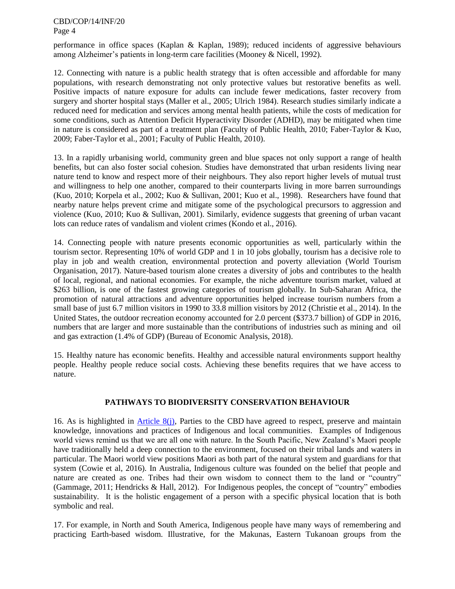CBD/COP/14/INF/20 Page 4

performance in office spaces (Kaplan & Kaplan, 1989); reduced incidents of aggressive behaviours among Alzheimer's patients in long-term care facilities (Mooney & Nicell, 1992).

12. Connecting with nature is a public health strategy that is often accessible and affordable for many populations, with research demonstrating not only protective values but restorative benefits as well. Positive impacts of nature exposure for adults can include fewer medications, faster recovery from surgery and shorter hospital stays (Maller et al., 2005; Ulrich 1984). Research studies similarly indicate a reduced need for medication and services among mental health patients, while the costs of medication for some conditions, such as Attention Deficit Hyperactivity Disorder (ADHD), may be mitigated when time in nature is considered as part of a treatment plan (Faculty of Public Health, 2010; Faber-Taylor & Kuo, 2009; Faber-Taylor et al., 2001; Faculty of Public Health, 2010).

13. In a rapidly urbanising world, community green and blue spaces not only support a range of health benefits, but can also foster social cohesion. Studies have demonstrated that urban residents living near nature tend to know and respect more of their neighbours. They also report higher levels of mutual trust and willingness to help one another, compared to their counterparts living in more barren surroundings (Kuo, 2010; Korpela et al., 2002; Kuo & Sullivan, 2001; Kuo et al., 1998). Researchers have found that nearby nature helps prevent crime and mitigate some of the psychological precursors to aggression and violence (Kuo, 2010; Kuo & Sullivan, 2001). Similarly, evidence suggests that greening of urban vacant lots can reduce rates of vandalism and violent crimes (Kondo et al., 2016).

14. Connecting people with nature presents economic opportunities as well, particularly within the tourism sector. Representing 10% of world GDP and 1 in 10 jobs globally, tourism has a decisive role to play in job and wealth creation, environmental protection and poverty alleviation (World Tourism Organisation, 2017). Nature-based tourism alone creates a diversity of jobs and contributes to the health of local, regional, and national economies. For example, the niche adventure tourism market, valued at \$263 billion, is one of the fastest growing categories of tourism globally. In Sub-Saharan Africa, the promotion of natural attractions and adventure opportunities helped increase tourism numbers from a small base of just 6.7 million visitors in 1990 to 33.8 million visitors by 2012 (Christie et al., 2014). In the United States, the outdoor recreation economy accounted for 2.0 percent (\$373.7 billion) of GDP in 2016, numbers that are larger and more sustainable than the contributions of industries such as mining and oil and gas extraction (1.4% of GDP) (Bureau of Economic Analysis, 2018).

15. Healthy nature has economic benefits. Healthy and accessible natural environments support healthy people. Healthy people reduce social costs. Achieving these benefits requires that we have access to nature.

#### **PATHWAYS TO BIODIVERSITY CONSERVATION BEHAVIOUR**

16. As is highlighted in [Article 8\(j\),](https://www.cbd.int/convention/articles/default.shtml?a=cbd-08) Parties to the CBD have agreed to respect, preserve and maintain knowledge, innovations and practices of Indigenous and local communities. Examples of Indigenous world views remind us that we are all one with nature. In the South Pacific, New Zealand's Maori people have traditionally held a deep connection to the environment, focused on their tribal lands and waters in particular. The Maori world view positions Maori as both part of the natural system and guardians for that system (Cowie et al, 2016). In Australia, Indigenous culture was founded on the belief that people and nature are created as one. Tribes had their own wisdom to connect them to the land or "country" (Gammage, 2011; Hendricks & Hall, 2012). For Indigenous peoples, the concept of "country" embodies sustainability. It is the holistic engagement of a person with a specific physical location that is both symbolic and real.

17. For example, in North and South America, Indigenous people have many ways of remembering and practicing Earth-based wisdom. Illustrative, for the Makunas, Eastern Tukanoan groups from the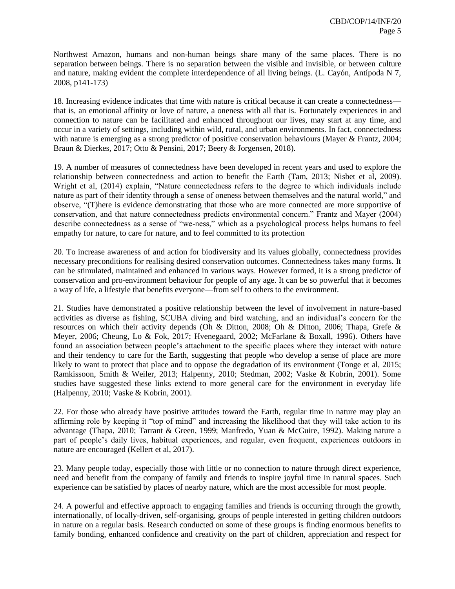Northwest Amazon, humans and non-human beings share many of the same places. There is no separation between beings. There is no separation between the visible and invisible, or between culture and nature, making evident the complete interdependence of all living beings. (L. Cayón, Antípoda N 7, 2008, p141-173)

18. Increasing evidence indicates that time with nature is critical because it can create a connectedness that is, an emotional affinity or love of nature, a oneness with all that is. Fortunately experiences in and connection to nature can be facilitated and enhanced throughout our lives, may start at any time, and occur in a variety of settings, including within wild, rural, and urban environments. In fact, connectedness with nature is emerging as a strong predictor of positive conservation behaviours (Mayer & Frantz, 2004; Braun & Dierkes, 2017; Otto & Pensini, 2017; Beery & Jorgensen, 2018).

19. A number of measures of connectedness have been developed in recent years and used to explore the relationship between connectedness and action to benefit the Earth (Tam, 2013; Nisbet et al, 2009). Wright et al, (2014) explain, "Nature connectedness refers to the degree to which individuals include nature as part of their identity through a sense of oneness between themselves and the natural world," and observe, "(T)here is evidence demonstrating that those who are more connected are more supportive of conservation, and that nature connectedness predicts environmental concern." Frantz and Mayer (2004) describe connectedness as a sense of "we-ness," which as a psychological process helps humans to feel empathy for nature, to care for nature, and to feel committed to its protection

20. To increase awareness of and action for biodiversity and its values globally, connectedness provides necessary preconditions for realising desired conservation outcomes. Connectedness takes many forms. It can be stimulated, maintained and enhanced in various ways. However formed, it is a strong predictor of conservation and pro-environment behaviour for people of any age. It can be so powerful that it becomes a way of life, a lifestyle that benefits everyone—from self to others to the environment.

21. Studies have demonstrated a positive relationship between the level of involvement in nature-based activities as diverse as fishing, SCUBA diving and bird watching, and an individual's concern for the resources on which their activity depends (Oh & Ditton, 2008; Oh & Ditton, 2006; Thapa, Grefe & Meyer, 2006; Cheung, Lo & Fok, 2017; Hvenegaard, 2002; McFarlane & Boxall, 1996). Others have found an association between people's attachment to the specific places where they interact with nature and their tendency to care for the Earth, suggesting that people who develop a sense of place are more likely to want to protect that place and to oppose the degradation of its environment (Tonge et al. 2015; Ramkissoon, Smith & Weiler, 2013; Halpenny, 2010; Stedman, 2002; Vaske & Kobrin, 2001). Some studies have suggested these links extend to more general care for the environment in everyday life (Halpenny, 2010; Vaske & Kobrin, 2001).

22. For those who already have positive attitudes toward the Earth, regular time in nature may play an affirming role by keeping it "top of mind" and increasing the likelihood that they will take action to its advantage (Thapa, 2010; Tarrant & Green, 1999; Manfredo, Yuan & McGuire, 1992). Making nature a part of people's daily lives, habitual experiences, and regular, even frequent, experiences outdoors in nature are encouraged (Kellert et al, 2017).

23. Many people today, especially those with little or no connection to nature through direct experience, need and benefit from the company of family and friends to inspire joyful time in natural spaces. Such experience can be satisfied by places of nearby nature, which are the most accessible for most people.

24. A powerful and effective approach to engaging families and friends is occurring through the growth, internationally, of locally-driven, self-organising, groups of people interested in getting children outdoors in nature on a regular basis. Research conducted on some of these groups is finding enormous benefits to family bonding, enhanced confidence and creativity on the part of children, appreciation and respect for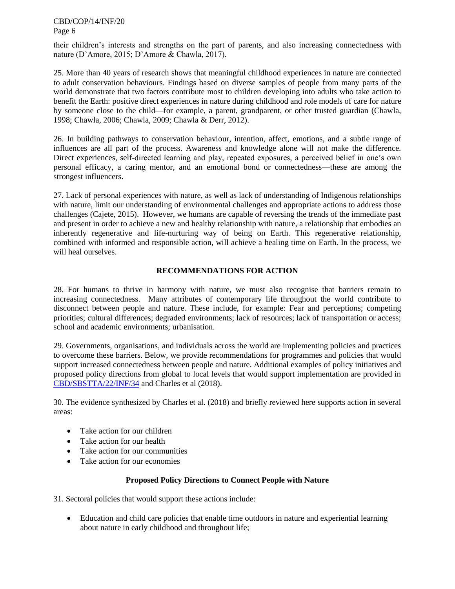CBD/COP/14/INF/20 Page 6

their children's interests and strengths on the part of parents, and also increasing connectedness with nature (D'Amore, 2015; D'Amore & Chawla, 2017).

25. More than 40 years of research shows that meaningful childhood experiences in nature are connected to adult conservation behaviours. Findings based on diverse samples of people from many parts of the world demonstrate that two factors contribute most to children developing into adults who take action to benefit the Earth: positive direct experiences in nature during childhood and role models of care for nature by someone close to the child—for example, a parent, grandparent, or other trusted guardian (Chawla, 1998; Chawla, 2006; Chawla, 2009; Chawla & Derr, 2012).

26. In building pathways to conservation behaviour, intention, affect, emotions, and a subtle range of influences are all part of the process. Awareness and knowledge alone will not make the difference. Direct experiences, self-directed learning and play, repeated exposures, a perceived belief in one's own personal efficacy, a caring mentor, and an emotional bond or connectedness—these are among the strongest influencers.

27. Lack of personal experiences with nature, as well as lack of understanding of Indigenous relationships with nature, limit our understanding of environmental challenges and appropriate actions to address those challenges (Cajete, 2015). However, we humans are capable of reversing the trends of the immediate past and present in order to achieve a new and healthy relationship with nature, a relationship that embodies an inherently regenerative and life-nurturing way of being on Earth. This regenerative relationship, combined with informed and responsible action, will achieve a healing time on Earth. In the process, we will heal ourselves.

#### **RECOMMENDATIONS FOR ACTION**

28. For humans to thrive in harmony with nature, we must also recognise that barriers remain to increasing connectedness. Many attributes of contemporary life throughout the world contribute to disconnect between people and nature. These include, for example: Fear and perceptions; competing priorities; cultural differences; degraded environments; lack of resources; lack of transportation or access; school and academic environments; urbanisation.

29. Governments, organisations, and individuals across the world are implementing policies and practices to overcome these barriers. Below, we provide recommendations for programmes and policies that would support increased connectedness between people and nature. Additional examples of policy initiatives and proposed policy directions from global to local levels that would support implementation are provided in [CBD/SBSTTA/22/INF/34](https://www.cbd.int/doc/c/02cf/9ec2/f64730cb93e3aedbfa736c83/sbstta-22-inf-34-en.pdf) and Charles et al (2018).

30. The evidence synthesized by Charles et al. (2018) and briefly reviewed here supports action in several areas:

- Take action for our children
- Take action for our health
- Take action for our communities
- Take action for our economies

#### **Proposed Policy Directions to Connect People with Nature**

31. Sectoral policies that would support these actions include:

 Education and child care policies that enable time outdoors in nature and experiential learning about nature in early childhood and throughout life;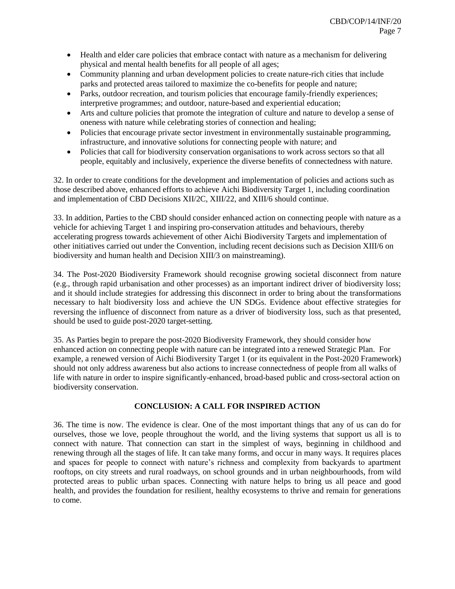- Health and elder care policies that embrace contact with nature as a mechanism for delivering physical and mental health benefits for all people of all ages;
- Community planning and urban development policies to create nature-rich cities that include parks and protected areas tailored to maximize the co-benefits for people and nature;
- Parks, outdoor recreation, and tourism policies that encourage family-friendly experiences; interpretive programmes; and outdoor, nature-based and experiential education;
- Arts and culture policies that promote the integration of culture and nature to develop a sense of oneness with nature while celebrating stories of connection and healing;
- Policies that encourage private sector investment in environmentally sustainable programming, infrastructure, and innovative solutions for connecting people with nature; and
- Policies that call for biodiversity conservation organisations to work across sectors so that all people, equitably and inclusively, experience the diverse benefits of connectedness with nature.

32. In order to create conditions for the development and implementation of policies and actions such as those described above, enhanced efforts to achieve Aichi Biodiversity Target 1, including coordination and implementation of CBD Decisions XII/2C, XIII/22, and XIII/6 should continue.

33. In addition, Parties to the CBD should consider enhanced action on connecting people with nature as a vehicle for achieving Target 1 and inspiring pro-conservation attitudes and behaviours, thereby accelerating progress towards achievement of other Aichi Biodiversity Targets and implementation of other initiatives carried out under the Convention, including recent decisions such as Decision XIII/6 on biodiversity and human health and Decision XIII/3 on mainstreaming).

34. The Post-2020 Biodiversity Framework should recognise growing societal disconnect from nature (e.g., through rapid urbanisation and other processes) as an important indirect driver of biodiversity loss; and it should include strategies for addressing this disconnect in order to bring about the transformations necessary to halt biodiversity loss and achieve the UN SDGs. Evidence about effective strategies for reversing the influence of disconnect from nature as a driver of biodiversity loss, such as that presented, should be used to guide post-2020 target-setting.

35. As Parties begin to prepare the post-2020 Biodiversity Framework, they should consider how enhanced action on connecting people with nature can be integrated into a renewed Strategic Plan. For example, a renewed version of Aichi Biodiversity Target 1 (or its equivalent in the Post-2020 Framework) should not only address awareness but also actions to increase connectedness of people from all walks of life with nature in order to inspire significantly-enhanced, broad-based public and cross-sectoral action on biodiversity conservation.

## **CONCLUSION: A CALL FOR INSPIRED ACTION**

36. The time is now. The evidence is clear. One of the most important things that any of us can do for ourselves, those we love, people throughout the world, and the living systems that support us all is to connect with nature. That connection can start in the simplest of ways, beginning in childhood and renewing through all the stages of life. It can take many forms, and occur in many ways. It requires places and spaces for people to connect with nature's richness and complexity from backyards to apartment rooftops, on city streets and rural roadways, on school grounds and in urban neighbourhoods, from wild protected areas to public urban spaces. Connecting with nature helps to bring us all peace and good health, and provides the foundation for resilient, healthy ecosystems to thrive and remain for generations to come.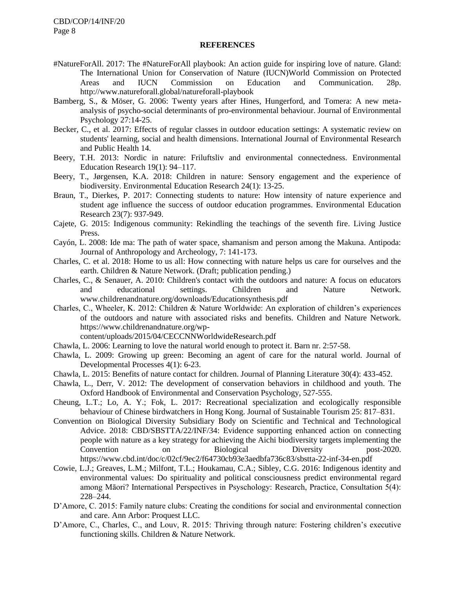#### **REFERENCES**

- #NatureForAll. 2017: The #NatureForAll playbook: An action guide for inspiring love of nature. Gland: The International Union for Conservation of Nature (IUCN)World Commission on Protected Areas and IUCN Commission on Education and Communication. 28p. http://www.natureforall.global/natureforall-playbook
- Bamberg, S., & Möser, G. 2006: Twenty years after Hines, Hungerford, and Tomera: A new metaanalysis of psycho-social determinants of pro-environmental behaviour. Journal of Environmental Psychology 27:14-25.
- Becker, C., et al. 2017: Effects of regular classes in outdoor education settings: A systematic review on students' learning, social and health dimensions. International Journal of Environmental Research and Public Health 14.
- Beery, T.H. 2013: Nordic in nature: Friluftsliv and environmental connectedness. Environmental Education Research 19(1): 94–117.
- Beery, T., Jørgensen, K.A. 2018: Children in nature: Sensory engagement and the experience of biodiversity. Environmental Education Research 24(1): 13-25.
- Braun, T., Dierkes, P. 2017: Connecting students to nature: How intensity of nature experience and student age influence the success of outdoor education programmes. Environmental Education Research 23(7): 937-949.
- Cajete, G. 2015: Indigenous community: Rekindling the teachings of the seventh fire. Living Justice Press.
- Cayón, L. 2008: Ide ma: The path of water space, shamanism and person among the Makuna. Antipoda: Journal of Anthropology and Archeology, 7: 141-173.
- Charles, C. et al. 2018: Home to us all: How connecting with nature helps us care for ourselves and the earth. Children & Nature Network. (Draft; publication pending.)
- Charles, C., & Senauer, A. 2010: Children's contact with the outdoors and nature: A focus on educators and educational settings. Children and Nature Network. www.childrenandnature.org/downloads/Educationsynthesis.pdf
- Charles, C., Wheeler, K. 2012: Children & Nature Worldwide: An exploration of children's experiences of the outdoors and nature with associated risks and benefits. Children and Nature Network. https://www.childrenandnature.org/wp-

content/uploads/2015/04/CECCNNWorldwideResearch.pdf

- Chawla, L. 2006: Learning to love the natural world enough to protect it. Barn nr. 2:57-58.
- Chawla, L. 2009: Growing up green: Becoming an agent of care for the natural world. Journal of Developmental Processes 4(1): 6-23.
- Chawla, L. 2015: Benefits of nature contact for children. Journal of Planning Literature 30(4): 433-452.
- Chawla, L., Derr, V. 2012: The development of conservation behaviors in childhood and youth. The Oxford Handbook of Environmental and Conservation Psychology, 527-555.
- Cheung, L.T.; Lo, A. Y.; Fok, L. 2017: Recreational specialization and ecologically responsible behaviour of Chinese birdwatchers in Hong Kong. Journal of Sustainable Tourism 25: 817–831.
- Convention on Biological Diversity Subsidiary Body on Scientific and Technical and Technological Advice. 2018: CBD/SBSTTA/22/INF/34: Evidence supporting enhanced action on connecting people with nature as a key strategy for achieving the Aichi biodiversity targets implementing the Convention on Biological Diversity post-2020. https://www.cbd.int/doc/c/02cf/9ec2/f64730cb93e3aedbfa736c83/sbstta-22-inf-34-en.pdf
- Cowie, L.J.; Greaves, L.M.; Milfont, T.L.; Houkamau, C.A.; Sibley, C.G. 2016: Indigenous identity and environmental values: Do spirituality and political consciousness predict environmental regard among Māori? International Perspectives in Psyschology: Research, Practice, Consultation 5(4): 228–244.
- D'Amore, C. 2015: Family nature clubs: Creating the conditions for social and environmental connection and care. Ann Arbor: Proquest LLC.
- D'Amore, C., Charles, C., and Louv, R. 2015: Thriving through nature: Fostering children's executive functioning skills. Children & Nature Network.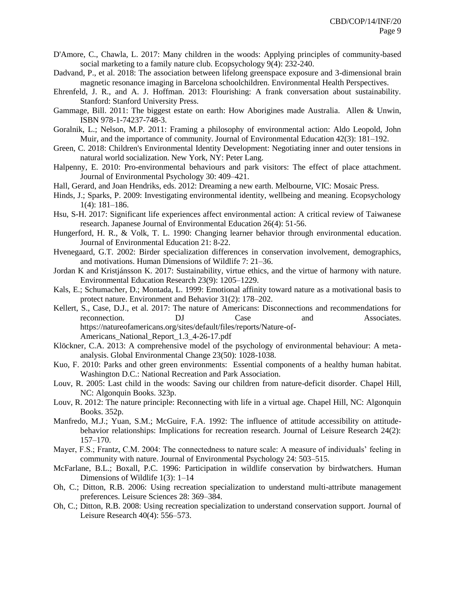- D'Amore, C., Chawla, L. 2017: Many children in the woods: Applying principles of community-based social marketing to a family nature club. Ecopsychology 9(4): 232-240.
- Dadvand, P., et al. 2018: The association between lifelong greenspace exposure and 3-dimensional brain magnetic resonance imaging in Barcelona schoolchildren. Environmental Health Perspectives.
- Ehrenfeld, J. R., and A. J. Hoffman. 2013: Flourishing: A frank conversation about sustainability. Stanford: Stanford University Press.
- Gammage, Bill. 2011: The biggest estate on earth: How Aborigines made Australia. Allen & Unwin, ISBN 978-1-74237-748-3.
- Goralnik, L.; Nelson, M.P. 2011: Framing a philosophy of environmental action: Aldo Leopold, John Muir, and the importance of community. Journal of Environmental Education 42(3): 181–192.
- Green, C. 2018: Children's Environmental Identity Development: Negotiating inner and outer tensions in natural world socialization. New York, NY: Peter Lang.
- Halpenny, E. 2010: Pro-environmental behaviours and park visitors: The effect of place attachment. Journal of Environmental Psychology 30: 409–421.
- Hall, Gerard, and Joan Hendriks, eds. 2012: Dreaming a new earth. Melbourne, VIC: Mosaic Press.
- Hinds, J.; Sparks, P. 2009: Investigating environmental identity, wellbeing and meaning. Ecopsychology 1(4): 181–186.
- Hsu, S-H. 2017: Significant life experiences affect environmental action: A critical review of Taiwanese research. Japanese Journal of Environmental Education 26(4): 51-56.
- Hungerford, H. R., & Volk, T. L. 1990: Changing learner behavior through environmental education. Journal of Environmental Education 21: 8-22.
- Hvenegaard, G.T. 2002: Birder specialization differences in conservation involvement, demographics, and motivations. Human Dimensions of Wildlife 7: 21–36.
- Jordan K and Kristjánsson K. 2017: Sustainability, virtue ethics, and the virtue of harmony with nature. Environmental Education Research 23(9): 1205–1229.
- Kals, E.; Schumacher, D.; Montada, L. 1999: Emotional affinity toward nature as a motivational basis to protect nature. Environment and Behavior 31(2): 178–202.
- Kellert, S., Case, D.J., et al. 2017: The nature of Americans: Disconnections and recommendations for reconnection. DJ Case and Associates. https://natureofamericans.org/sites/default/files/reports/Nature-of-Americans\_National\_Report\_1.3\_4-26-17.pdf
- Klöckner, C.A. 2013: A comprehensive model of the psychology of environmental behaviour: A metaanalysis. Global Environmental Change 23(50): 1028-1038.
- Kuo, F. 2010: Parks and other green environments: Essential components of a healthy human habitat. Washington D.C.: National Recreation and Park Association.
- Louv, R. 2005: Last child in the woods: Saving our children from nature-deficit disorder. Chapel Hill, NC: Algonquin Books. 323p.
- Louv, R. 2012: The nature principle: Reconnecting with life in a virtual age. Chapel Hill, NC: Algonquin Books. 352p.
- Manfredo, M.J.; Yuan, S.M.; McGuire, F.A. 1992: The influence of attitude accessibility on attitudebehavior relationships: Implications for recreation research. Journal of Leisure Research 24(2): 157–170.
- Mayer, F.S.; Frantz, C.M. 2004: The connectedness to nature scale: A measure of individuals' feeling in community with nature. Journal of Environmental Psychology 24: 503–515.
- McFarlane, B.L.; Boxall, P.C. 1996: Participation in wildlife conservation by birdwatchers. Human Dimensions of Wildlife 1(3): 1–14
- Oh, C.; Ditton, R.B. 2006: Using recreation specialization to understand multi-attribute management preferences. Leisure Sciences 28: 369–384.
- Oh, C.; Ditton, R.B. 2008: Using recreation specialization to understand conservation support. Journal of Leisure Research 40(4): 556–573.